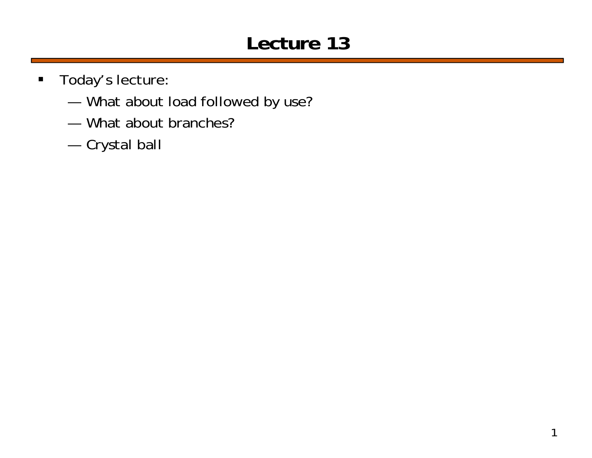# **Lecture 13**

- $\blacksquare$  Today's lecture:
	- ———— What about load followed by use?
	- What about branches?
	- —Crystal ball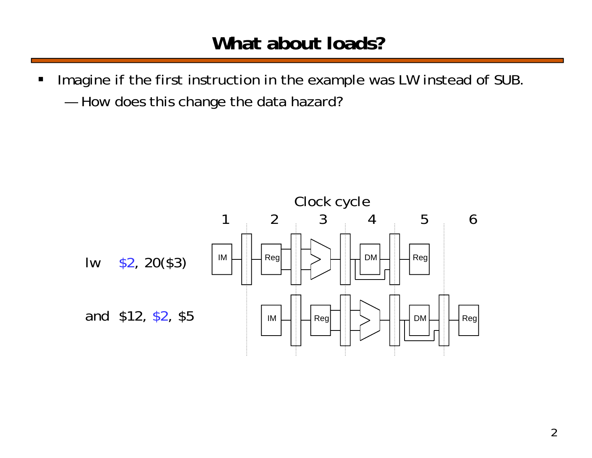#### **What about loads?**

 $\blacksquare$  Imagine if the first instruction in the example was LW instead of SUB. —How does this change the data hazard?

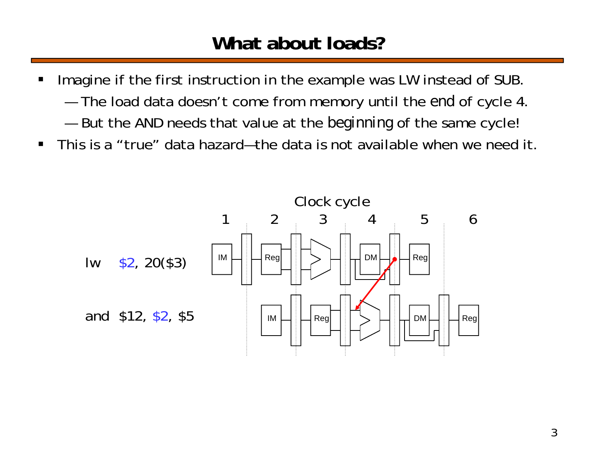#### **What about loads?**

- $\blacksquare$  Imagine if the first instruction in the example was LW instead of SUB.
	- ———— The load data doesn't come from memory until the *end* of cycle 4.
	- —But the AND needs that value at the *beginning* of the same cycle!
- $\blacksquare$ This is a "true" data hazard—the data is not available when we need it.

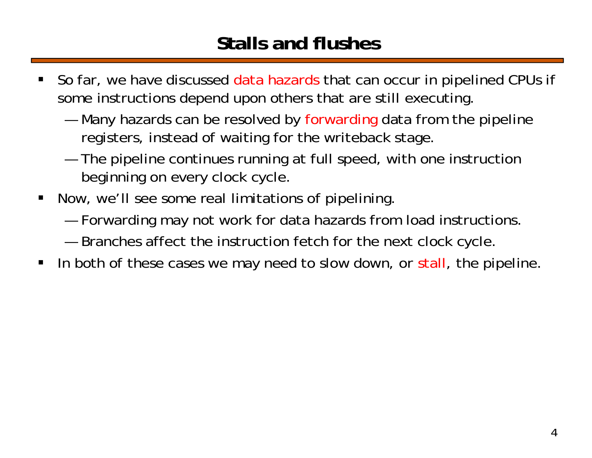#### **Stalls and flushes**

- ш So far, we have discussed data hazards that can occur in pipelined CPUs if some instructions depend upon others that are still executing.
	- — Many hazards can be resolved by forwarding data from the pipeline registers, instead of waiting for the writeback stage.
	- ———— The pipeline continues running at full speed, with one instruction beginning on every clock cycle.
- $\blacksquare$  Now, we'll see some real limitations of pipelining.
	- —Forwarding may not work for data hazards from load instructions.
	- —Branches affect the instruction fetch for the next clock cycle.
- $\blacksquare$ In both of these cases we may need to slow down, or stall, the pipeline.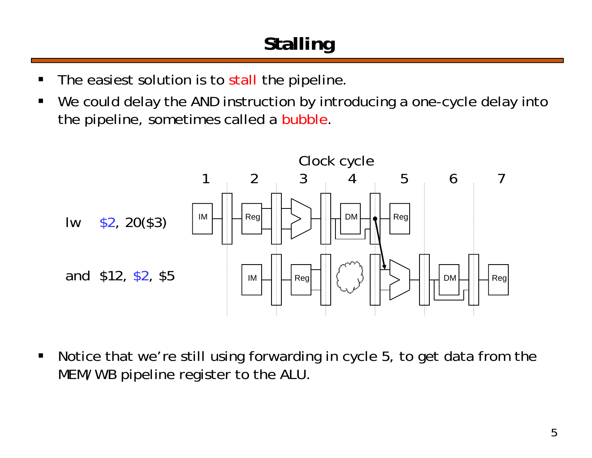# **Stalling**

- $\blacksquare$ The easiest solution is to stall the pipeline.
- П We could delay the AND instruction by introducing a one-cycle delay into the pipeline, sometimes called a bubble.



 $\blacksquare$  Notice that we're still using forwarding in cycle 5, to get data from the MEM/WB pipeline register to the ALU.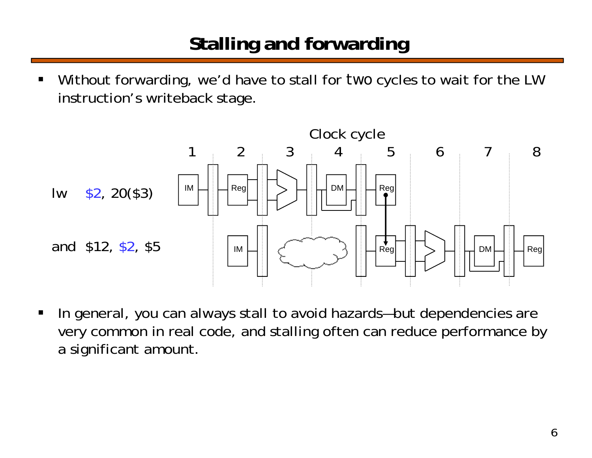# **Stalling and forwarding**

 Without forwarding, we'd have to stall for *two* cycles to wait for the LW instruction's writeback stage.



 $\blacksquare$  In general, you can always stall to avoid hazards—but dependencies are very common in real code, and stalling often can reduce performance by a significant amount.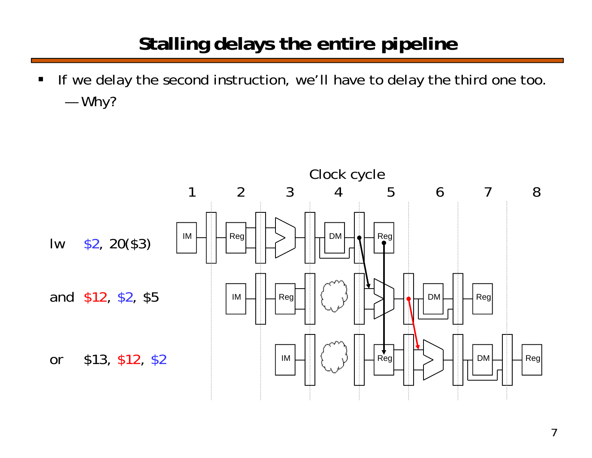#### **Stalling delays the entire pipeline**

 $\blacksquare$  If we delay the second instruction, we'll have to delay the third one too. —Why?

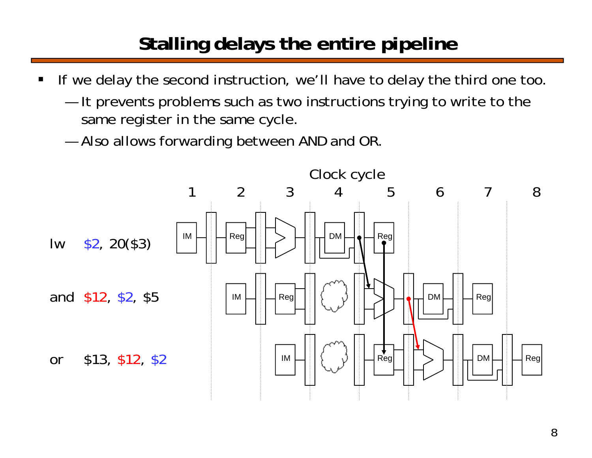# **Stalling delays the entire pipeline**

- $\blacksquare$  If we delay the second instruction, we'll have to delay the third one too.
	- — It prevents problems such as two instructions trying to write to the same register in the same cycle.
	- —Also allows forwarding between AND and OR.

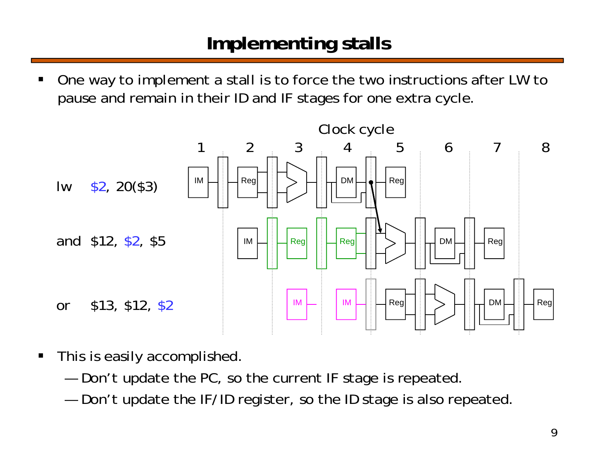#### **Implementing stalls**

ш One way to implement a stall is to force the two instructions after LW to pause and remain in their ID and IF stages for one extra cycle.



- $\blacksquare$  This is easily accomplished.
	- —Don't update the PC, so the current IF stage is repeated.
	- —Don't update the IF/ID register, so the ID stage is also repeated.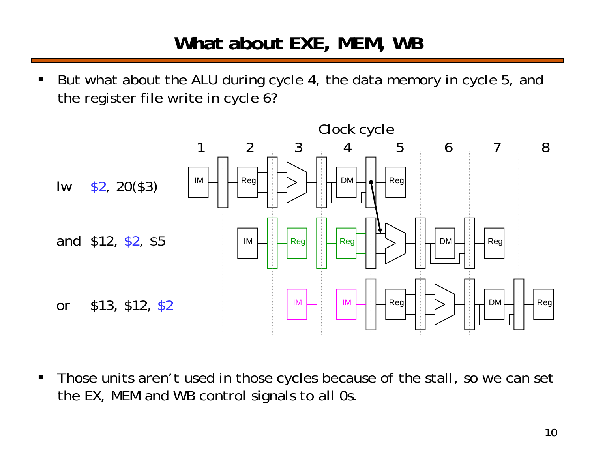#### **What about EXE, MEM, WB**

 $\blacksquare$  But what about the ALU during cycle 4, the data memory in cycle 5, and the register file write in cycle 6?



 $\blacksquare$  Those units aren't used in those cycles because of the stall, so we can set the EX, MEM and WB control signals to all 0s.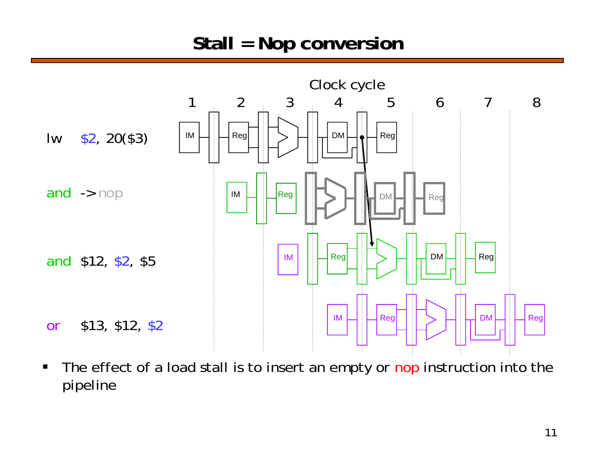#### **Stall = Nop conversion**



 $\blacksquare$ The effect of a load stall is to insert an empty or nop instruction into the pipeline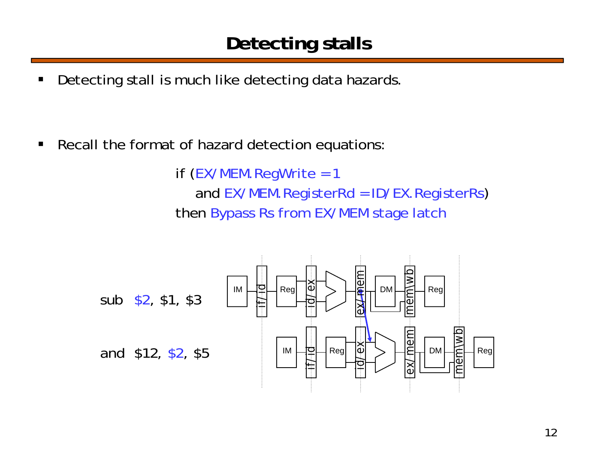$\blacksquare$ Detecting stall is much like detecting data hazards.

 $\blacksquare$ Recall the format of hazard detection equations:

> if (EX/MEM.RegWrite = 1 and EX/MEM.RegisterRd = ID/EX.RegisterRs) then Bypass Rs from EX/MEM stage latch

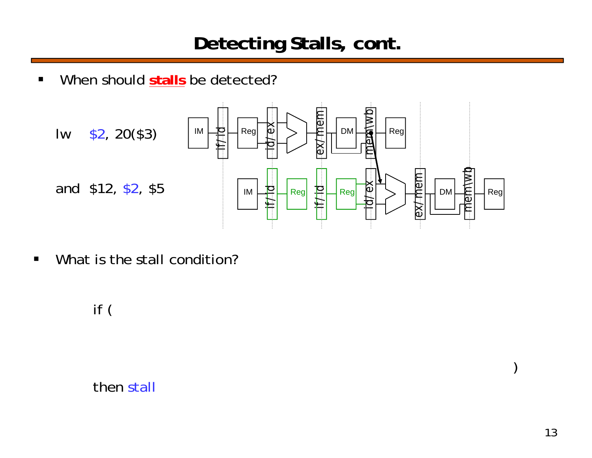$\blacksquare$ When should **stalls** be detected?



 $\blacksquare$ What is the stall condition?

#### if (

then stall

)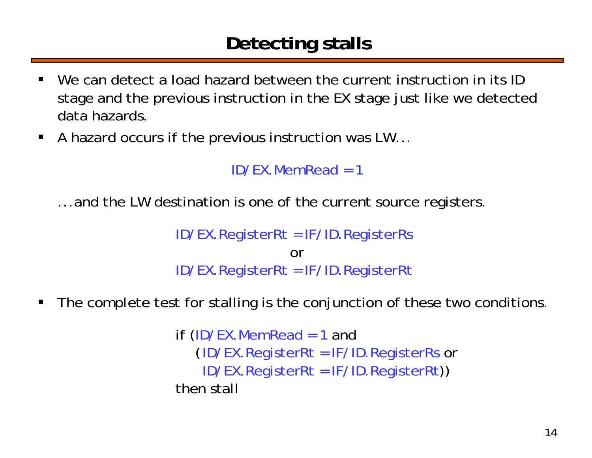# **Detecting stalls**

- $\blacksquare$ We can detect a load hazard between the current instruction in its ID stage and the previous instruction in the EX stage just like we detected data hazards.
- A hazard occurs if the previous instruction was LW...

```
ID/FX. MemRead = 1
```
...and the LW destination is one of the current source registers.

ID/EX.RegisterRt = IF/ID.RegisterRs orID/EX.RegisterRt = IF/ID.RegisterRt

П The complete test for stalling is the conjunction of these two conditions.

> if (ID/EX.MemRead = 1 and (ID/EX.RegisterRt = IF/ID.RegisterRs or ID/EX.RegisterRt = IF/ID.RegisterRt)) then stall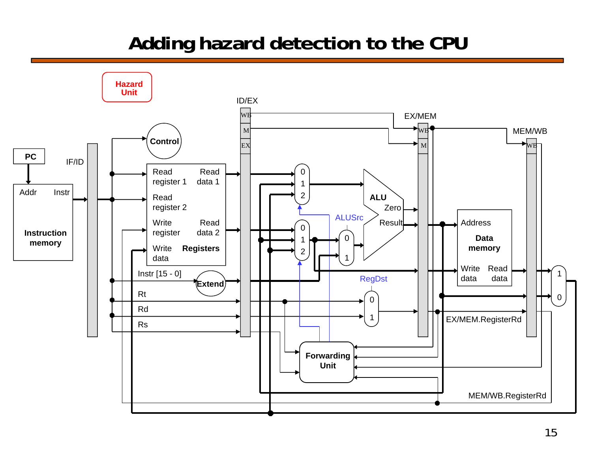#### **Adding hazard detection to the CPU**

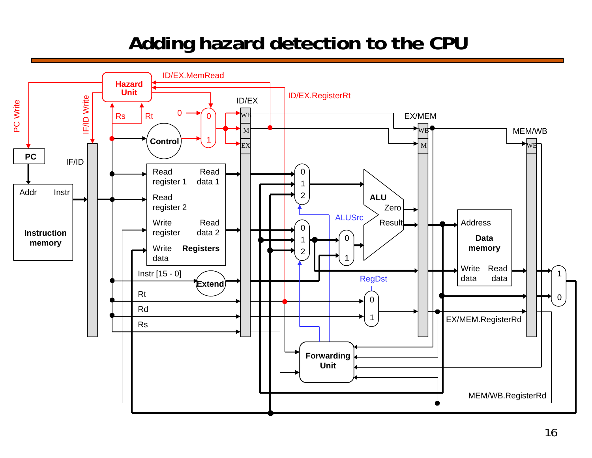#### **Adding hazard detection to the CPU**

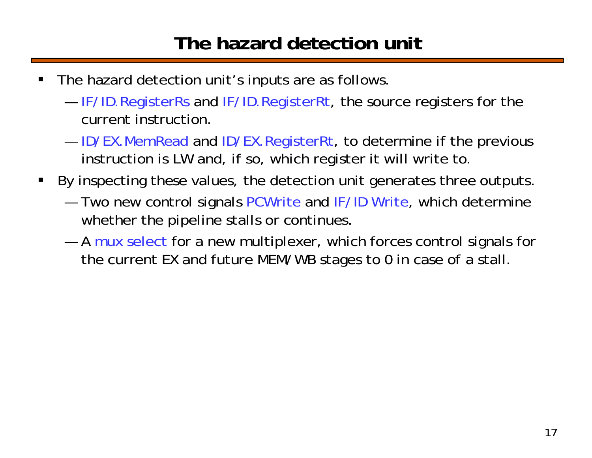#### **The hazard detection unit**

- $\blacksquare$  The hazard detection unit's inputs are as follows.
	- ——  $-$  IF/ID.RegisterRs and IF/ID.RegisterRt, the source registers for the current instruction.
	- ————  $-$  ID/EX.MemRead and ID/EX.RegisterRt, to determine if the previous instruction is LW and, if so, which register it will write to.
- By inspecting these values, the detection unit generates three outputs.
	- — Two new control signals PCWrite and IF/ID Write, which determine whether the pipeline stalls or continues.
	- $-$  A mux select for a new multiplexer, which forces control signals for  $\overline{\phantom{a}}$ the current EX and future MEM/WB stages to 0 in case of a stall.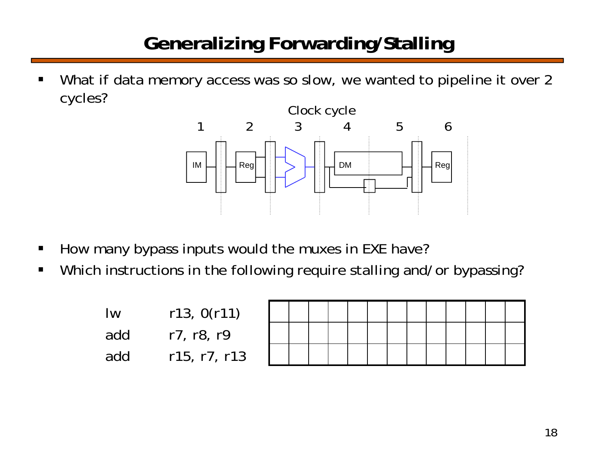# **Generalizing Forwarding/Stalling**

 $\blacksquare$  What if data memory access was so slow, we wanted to pipeline it over 2 cycles?



- $\blacksquare$ How many bypass inputs would the muxes in EXE have?
- $\blacksquare$ Which instructions in the following require stalling and/or bypassing?

| <u>Iw</u> | r13, 0(r11)  |
|-----------|--------------|
| add       | r7, r8, r9   |
| add       | r15, r7, r13 |

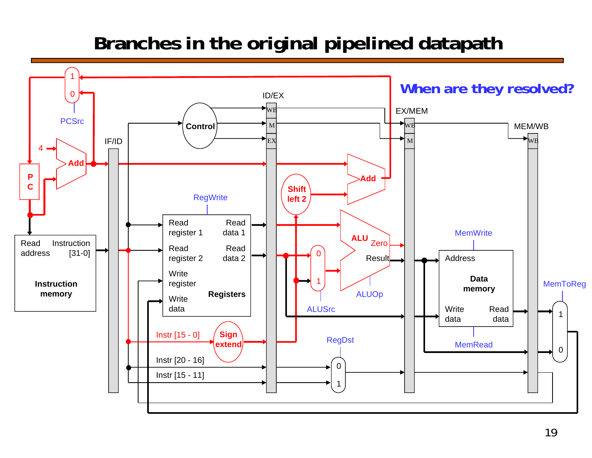### **Branches in the original pipelined datapath**

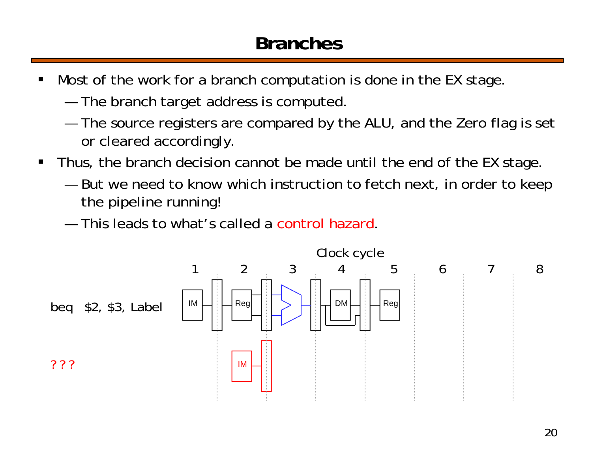#### **Branches**

- $\blacksquare$  Most of the work for a branch computation is done in the EX stage.
	- ———— The branch target address is computed.
	- ———— The source registers are compared by the ALU, and the Zero flag is set or cleared accordingly.
- $\blacksquare$  Thus, the branch decision cannot be made until the end of the EX stage.
	- — But we need to know which instruction to fetch next, in order to keep the pipeline running!
	- This leads to what's called a control hazard.

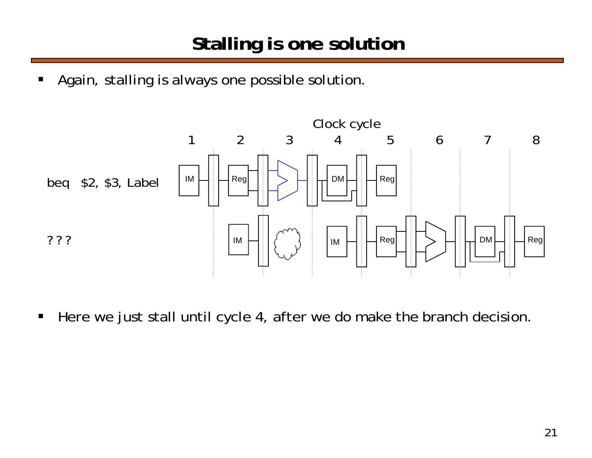$\blacksquare$ Again, stalling is always one possible solution.



 $\blacksquare$ Here we just stall until cycle 4, after we do make the branch decision.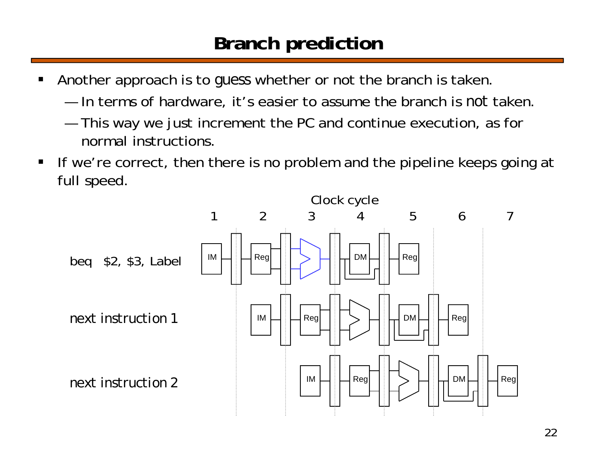#### **Branch prediction**

- ш Another approach is to *guess* whether or not the branch is taken.
	- In terms of hardware, it's easier to assume the branch is *not* taken.
	- ———— This way we just increment the PC and continue execution, as for normal instructions.
- $\blacksquare$  If we're correct, then there is no problem and the pipeline keeps going at full speed.

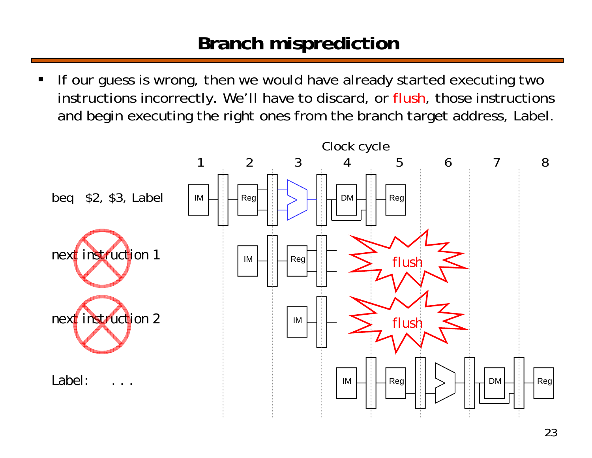#### **Branch misprediction**

ш If our guess is wrong, then we would have already started executing two instructions incorrectly. We'll have to discard, or flush, those instructions and begin executing the right ones from the branch target address, Label.

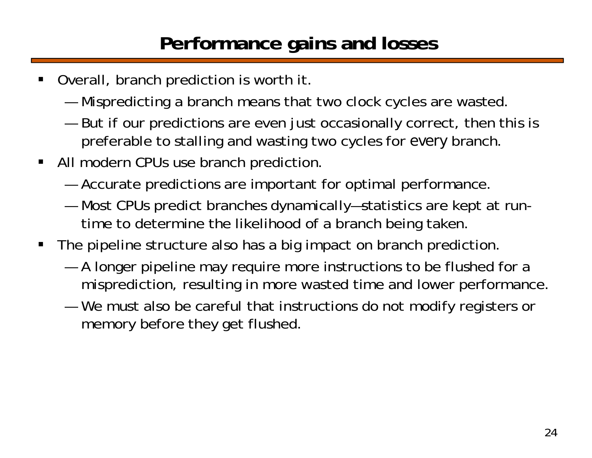## **Performance gains and losses**

- Overall, branch prediction is worth it.
	- —Mispredicting a branch means that two clock cycles are wasted.
	- — But if our predictions are even just occasionally correct, then this is preferable to stalling and wasting two cycles for *every* branch.
- All modern CPUs use branch prediction.
	- —Accurate predictions are important for optimal performance.
	- — Most CPUs predict branches dynamically—statistics are kept at runtime to determine the likelihood of a branch being taken.
- $\blacksquare$  The pipeline structure also has a big impact on branch prediction.
	- — A longer pipeline may require more instructions to be flushed for a misprediction, resulting in more wasted time and lower performance.
	- — We must also be careful that instructions do not modify registers or memory before they get flushed.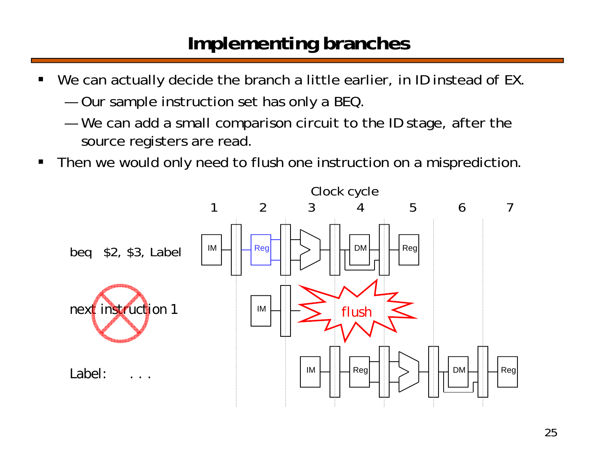#### **Implementing branches**

- ш We can actually decide the branch a little earlier, in ID instead of EX.
	- —Our sample instruction set has only a BEQ.
	- — We can add a small comparison circuit to the ID stage, after the source registers are read.
- $\blacksquare$ Then we would only need to flush one instruction on a misprediction.

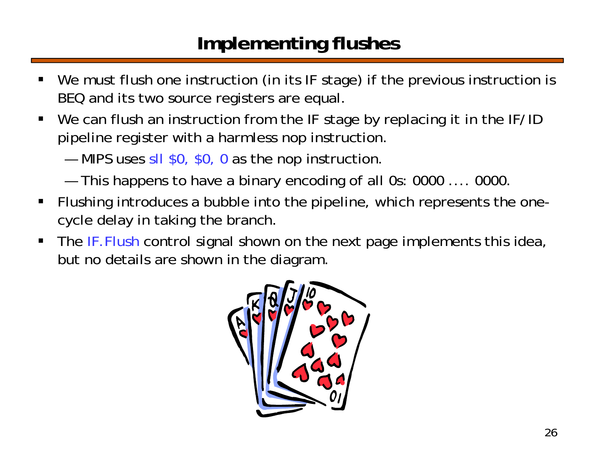# **Implementing flushes**

- ш We must flush one instruction (in its IF stage) if the previous instruction is BEQ and its two source registers are equal.
- $\blacksquare$ We can flush an instruction from the IF stage by replacing it in the IF/ID pipeline register with a harmless nop instruction.
	- —MIPS uses sll \$0, \$0, 0 as the nop instruction.
	- —This happens to have a binary encoding of all 0s: 0000 .... 0000.
- $\blacksquare$  Flushing introduces a bubble into the pipeline, which represents the onecycle delay in taking the branch.
- $\blacksquare$ The IF.Flush control signal shown on the next page implements this idea, but no details are shown in the diagram.

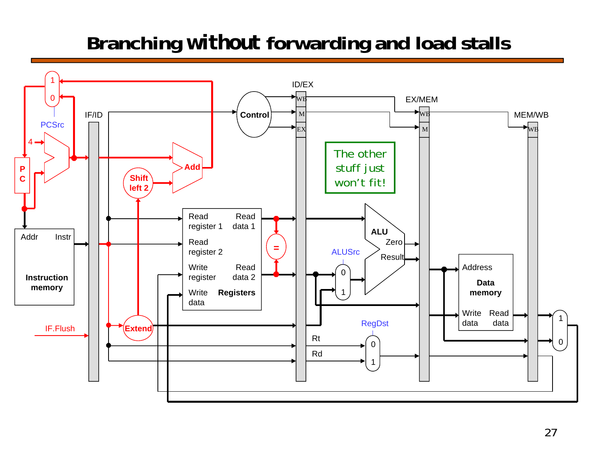# **Branching** *without* **forwarding and load stalls**

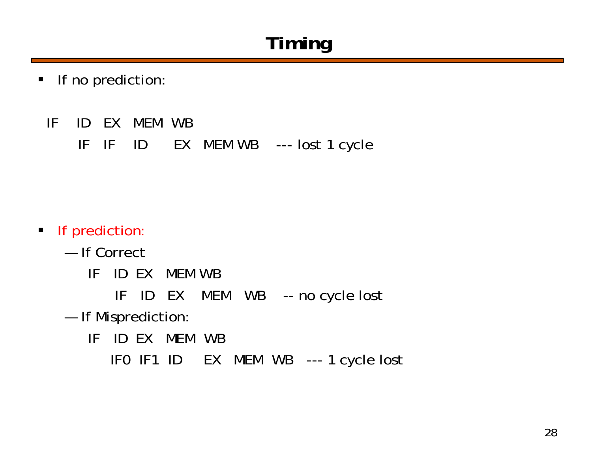# **Timing**

- $\blacksquare$  If no prediction:
	- IF ID EX MEM WB

IF IF ID EX MEM WB --- lost 1 cycle

- **If prediction:** 
	- If Correct
		- IF ID EX MEM WB
			- IF ID EX MEM WB -- no cycle lost
	- — If Misprediction:
		- IF ID EX MEM WB
			- IF0 IF1 ID EX MEM WB --- 1 cycle lost